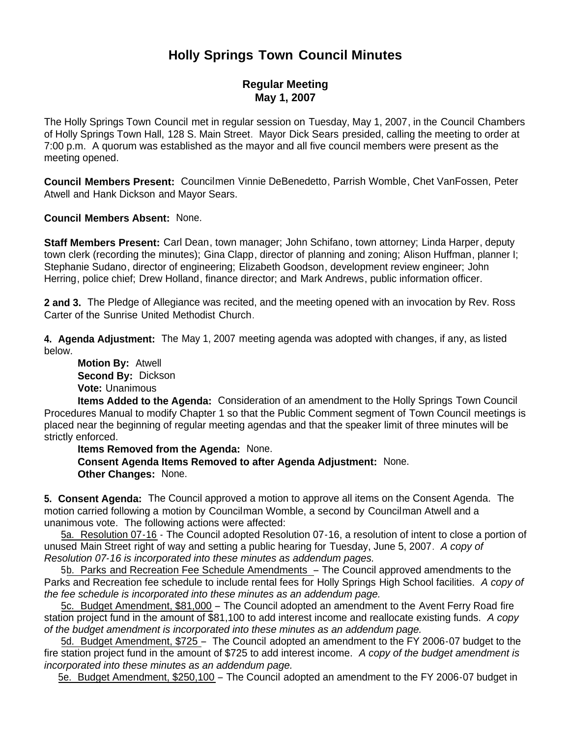# **Holly Springs Town Council Minutes**

## **Regular Meeting May 1, 2007**

The Holly Springs Town Council met in regular session on Tuesday, May 1, 2007, in the Council Chambers of Holly Springs Town Hall, 128 S. Main Street. Mayor Dick Sears presided, calling the meeting to order at 7:00 p.m. A quorum was established as the mayor and all five council members were present as the meeting opened.

**Council Members Present:** Councilmen Vinnie DeBenedetto, Parrish Womble, Chet VanFossen, Peter Atwell and Hank Dickson and Mayor Sears.

**Council Members Absent:** None.

**Staff Members Present:** Carl Dean, town manager; John Schifano, town attorney; Linda Harper, deputy town clerk (recording the minutes); Gina Clapp, director of planning and zoning; Alison Huffman, planner I; Stephanie Sudano, director of engineering; Elizabeth Goodson, development review engineer; John Herring, police chief; Drew Holland, finance director; and Mark Andrews, public information officer.

**2 and 3.** The Pledge of Allegiance was recited, and the meeting opened with an invocation by Rev. Ross Carter of the Sunrise United Methodist Church.

**4. Agenda Adjustment:** The May 1, 2007 meeting agenda was adopted with changes, if any, as listed below.

 **Motion By:** Atwell **Second By:** Dickson **Vote:** Unanimous

 **Items Added to the Agenda:** Consideration of an amendment to the Holly Springs Town Council Procedures Manual to modify Chapter 1 so that the Public Comment segment of Town Council meetings is placed near the beginning of regular meeting agendas and that the speaker limit of three minutes will be strictly enforced.

 **Items Removed from the Agenda:** None. **Consent Agenda Items Removed to after Agenda Adjustment:** None. **Other Changes:** None.

**5. Consent Agenda:** The Council approved a motion to approve all items on the Consent Agenda. The motion carried following a motion by Councilman Womble, a second by Councilman Atwell and a unanimous vote. The following actions were affected:

 5a. Resolution 07-16 - The Council adopted Resolution 07-16, a resolution of intent to close a portion of unused Main Street right of way and setting a public hearing for Tuesday, June 5, 2007. *A copy of Resolution 07-16 is incorporated into these minutes as addendum pages.*

 5b. Parks and Recreation Fee Schedule Amendments – The Council approved amendments to the Parks and Recreation fee schedule to include rental fees for Holly Springs High School facilities. *A copy of the fee schedule is incorporated into these minutes as an addendum page.*

 5c. Budget Amendment, \$81,000 – The Council adopted an amendment to the Avent Ferry Road fire station project fund in the amount of \$81,100 to add interest income and reallocate existing funds. *A copy of the budget amendment is incorporated into these minutes as an addendum page.*

5d. Budget Amendment, \$725 – The Council adopted an amendment to the FY 2006-07 budget to the fire station project fund in the amount of \$725 to add interest income. *A copy of the budget amendment is incorporated into these minutes as an addendum page.*

5e. Budget Amendment, \$250,100 – The Council adopted an amendment to the FY 2006-07 budget in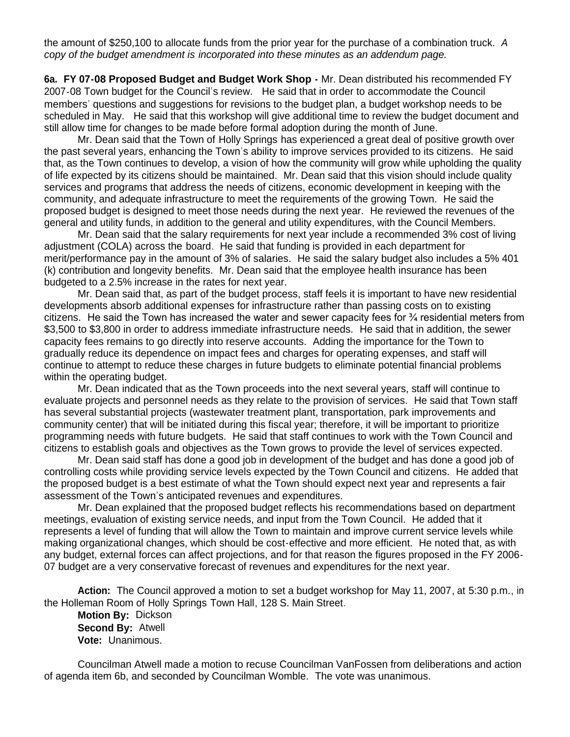the amount of \$250,100 to allocate funds from the prior year for the purchase of a combination truck. *A copy of the budget amendment is incorporated into these minutes as an addendum page.*

**6a. FY 07-08 Proposed Budget and Budget Work Shop -** Mr. Dean distributed his recommended FY 2007-08 Town budget for the Council's review. He said that in order to accommodate the Council members' questions and suggestions for revisions to the budget plan, a budget workshop needs to be scheduled in May. He said that this workshop will give additional time to review the budget document and still allow time for changes to be made before formal adoption during the month of June.

Mr. Dean said that the Town of Holly Springs has experienced a great deal of positive growth over the past several years, enhancing the Town's ability to improve services provided to its citizens. He said that, as the Town continues to develop, a vision of how the community will grow while upholding the quality of life expected by its citizens should be maintained. Mr. Dean said that this vision should include quality services and programs that address the needs of citizens, economic development in keeping with the community, and adequate infrastructure to meet the requirements of the growing Town. He said the proposed budget is designed to meet those needs during the next year. He reviewed the revenues of the general and utility funds, in addition to the general and utility expenditures, with the Council Members.

Mr. Dean said that the salary requirements for next year include a recommended 3% cost of living adjustment (COLA) across the board. He said that funding is provided in each department for merit/performance pay in the amount of 3% of salaries. He said the salary budget also includes a 5% 401 (k) contribution and longevity benefits. Mr. Dean said that the employee health insurance has been budgeted to a 2.5% increase in the rates for next year.

Mr. Dean said that, as part of the budget process, staff feels it is important to have new residential developments absorb additional expenses for infrastructure rather than passing costs on to existing citizens. He said the Town has increased the water and sewer capacity fees for ¾ residential meters from \$3,500 to \$3,800 in order to address immediate infrastructure needs. He said that in addition, the sewer capacity fees remains to go directly into reserve accounts. Adding the importance for the Town to gradually reduce its dependence on impact fees and charges for operating expenses, and staff will continue to attempt to reduce these charges in future budgets to eliminate potential financial problems within the operating budget.

Mr. Dean indicated that as the Town proceeds into the next several years, staff will continue to evaluate projects and personnel needs as they relate to the provision of services. He said that Town staff has several substantial projects (wastewater treatment plant, transportation, park improvements and community center) that will be initiated during this fiscal year; therefore, it will be important to prioritize programming needs with future budgets. He said that staff continues to work with the Town Council and citizens to establish goals and objectives as the Town grows to provide the level of services expected.

Mr. Dean said staff has done a good job in development of the budget and has done a good job of controlling costs while providing service levels expected by the Town Council and citizens. He added that the proposed budget is a best estimate of what the Town should expect next year and represents a fair assessment of the Town's anticipated revenues and expenditures.

Mr. Dean explained that the proposed budget reflects his recommendations based on department meetings, evaluation of existing service needs, and input from the Town Council. He added that it represents a level of funding that will allow the Town to maintain and improve current service levels while making organizational changes, which should be cost-effective and more efficient. He noted that, as with any budget, external forces can affect projections, and for that reason the figures proposed in the FY 2006- 07 budget are a very conservative forecast of revenues and expenditures for the next year.

 **Action:** The Council approved a motion to set a budget workshop for May 11, 2007, at 5:30 p.m., in the Holleman Room of Holly Springs Town Hall, 128 S. Main Street.

**Motion By:** Dickson **Second By:** Atwell **Vote:** Unanimous.

 Councilman Atwell made a motion to recuse Councilman VanFossen from deliberations and action of agenda item 6b, and seconded by Councilman Womble. The vote was unanimous.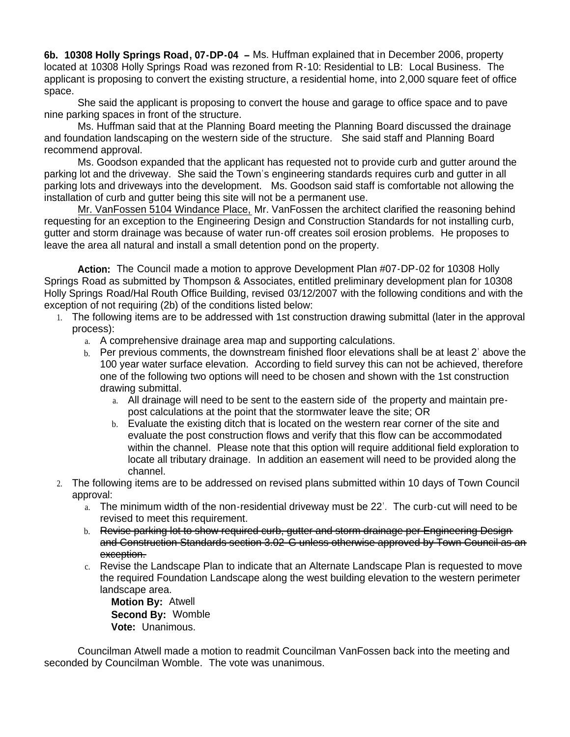**6b. 10308 Holly Springs Road, 07-DP-04 –** Ms. Huffman explained that in December 2006, property located at 10308 Holly Springs Road was rezoned from R-10: Residential to LB: Local Business. The applicant is proposing to convert the existing structure, a residential home, into 2,000 square feet of office space.

 She said the applicant is proposing to convert the house and garage to office space and to pave nine parking spaces in front of the structure.

 Ms. Huffman said that at the Planning Board meeting the Planning Board discussed the drainage and foundation landscaping on the western side of the structure. She said staff and Planning Board recommend approval.

 Ms. Goodson expanded that the applicant has requested not to provide curb and gutter around the parking lot and the driveway. She said the Town's engineering standards requires curb and gutter in all parking lots and driveways into the development. Ms. Goodson said staff is comfortable not allowing the installation of curb and gutter being this site will not be a permanent use.

 Mr. VanFossen 5104 Windance Place, Mr. VanFossen the architect clarified the reasoning behind requesting for an exception to the Engineering Design and Construction Standards for not installing curb, gutter and storm drainage was because of water run-off creates soil erosion problems. He proposes to leave the area all natural and install a small detention pond on the property.

 **Action:** The Council made a motion to approve Development Plan #07-DP-02 for 10308 Holly Springs Road as submitted by Thompson & Associates, entitled preliminary development plan for 10308 Holly Springs Road/Hal Routh Office Building, revised 03/12/2007 with the following conditions and with the exception of not requiring (2b) of the conditions listed below:

- 1. The following items are to be addressed with 1st construction drawing submittal (later in the approval process):
	- a. A comprehensive drainage area map and supporting calculations.
	- b. Per previous comments, the downstream finished floor elevations shall be at least 2' above the 100 year water surface elevation. According to field survey this can not be achieved, therefore one of the following two options will need to be chosen and shown with the 1st construction drawing submittal.
		- a. All drainage will need to be sent to the eastern side of the property and maintain prepost calculations at the point that the stormwater leave the site; OR
		- b. Evaluate the existing ditch that is located on the western rear corner of the site and evaluate the post construction flows and verify that this flow can be accommodated within the channel. Please note that this option will require additional field exploration to locate all tributary drainage. In addition an easement will need to be provided along the channel.
- 2. The following items are to be addressed on revised plans submitted within 10 days of Town Council approval:
	- a. The minimum width of the non-residential driveway must be 22'. The curb-cut will need to be revised to meet this requirement.
	- b. Revise parking lot to show required curb, gutter and storm drainage per Engineering Design and Construction Standards section 3.02-G unless otherwise approved by Town Council as an exception.
	- c. Revise the Landscape Plan to indicate that an Alternate Landscape Plan is requested to move the required Foundation Landscape along the west building elevation to the western perimeter landscape area.

 **Motion By:** Atwell **Second By:** Womble **Vote:** Unanimous.

Councilman Atwell made a motion to readmit Councilman VanFossen back into the meeting and seconded by Councilman Womble. The vote was unanimous.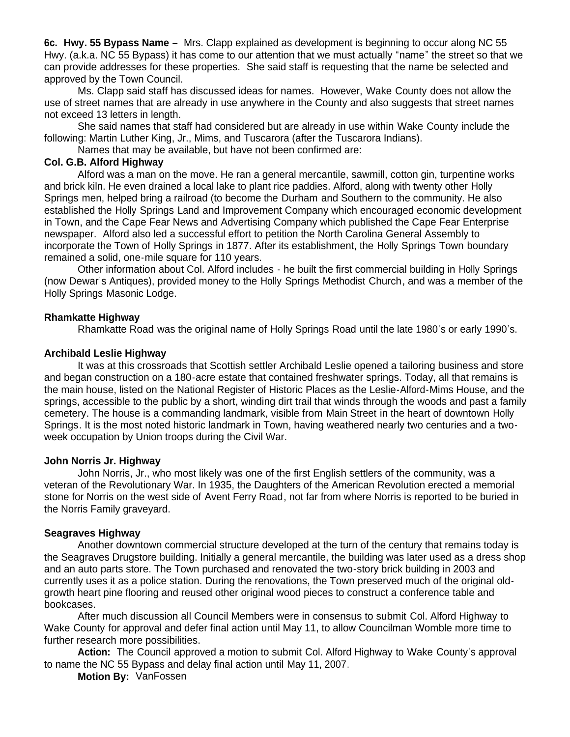**6c. Hwy. 55 Bypass Name –** Mrs. Clapp explained as development is beginning to occur along NC 55 Hwy. (a.k.a. NC 55 Bypass) it has come to our attention that we must actually "name" the street so that we can provide addresses for these properties. She said staff is requesting that the name be selected and approved by the Town Council.

 Ms. Clapp said staff has discussed ideas for names. However, Wake County does not allow the use of street names that are already in use anywhere in the County and also suggests that street names not exceed 13 letters in length.

 She said names that staff had considered but are already in use within Wake County include the following: Martin Luther King, Jr., Mims, and Tuscarora (after the Tuscarora Indians).

Names that may be available, but have not been confirmed are:

#### **Col. G.B. Alford Highway**

 Alford was a man on the move. He ran a general mercantile, sawmill, cotton gin, turpentine works and brick kiln. He even drained a local lake to plant rice paddies. Alford, along with twenty other Holly Springs men, helped bring a railroad (to become the Durham and Southern to the community. He also established the Holly Springs Land and Improvement Company which encouraged economic development in Town, and the Cape Fear News and Advertising Company which published the Cape Fear Enterprise newspaper. Alford also led a successful effort to petition the North Carolina General Assembly to incorporate the Town of Holly Springs in 1877. After its establishment, the Holly Springs Town boundary remained a solid, one-mile square for 110 years.

 Other information about Col. Alford includes - he built the first commercial building in Holly Springs (now Dewar's Antiques), provided money to the Holly Springs Methodist Church, and was a member of the Holly Springs Masonic Lodge.

#### **Rhamkatte Highway**

Rhamkatte Road was the original name of Holly Springs Road until the late 1980's or early 1990's.

#### **Archibald Leslie Highway**

 It was at this crossroads that Scottish settler Archibald Leslie opened a tailoring business and store and began construction on a 180-acre estate that contained freshwater springs. Today, all that remains is the main house, listed on the National Register of Historic Places as the Leslie-Alford-Mims House, and the springs, accessible to the public by a short, winding dirt trail that winds through the woods and past a family cemetery. The house is a commanding landmark, visible from Main Street in the heart of downtown Holly Springs. It is the most noted historic landmark in Town, having weathered nearly two centuries and a twoweek occupation by Union troops during the Civil War.

#### **John Norris Jr. Highway**

 John Norris, Jr., who most likely was one of the first English settlers of the community, was a veteran of the Revolutionary War. In 1935, the Daughters of the American Revolution erected a memorial stone for Norris on the west side of Avent Ferry Road, not far from where Norris is reported to be buried in the Norris Family graveyard.

#### **Seagraves Highway**

 Another downtown commercial structure developed at the turn of the century that remains today is the Seagraves Drugstore building. Initially a general mercantile, the building was later used as a dress shop and an auto parts store. The Town purchased and renovated the two-story brick building in 2003 and currently uses it as a police station. During the renovations, the Town preserved much of the original oldgrowth heart pine flooring and reused other original wood pieces to construct a conference table and bookcases.

 After much discussion all Council Members were in consensus to submit Col. Alford Highway to Wake County for approval and defer final action until May 11, to allow Councilman Womble more time to further research more possibilities.

**Action:** The Council approved a motion to submit Col. Alford Highway to Wake County's approval to name the NC 55 Bypass and delay final action until May 11, 2007.

**Motion By:** VanFossen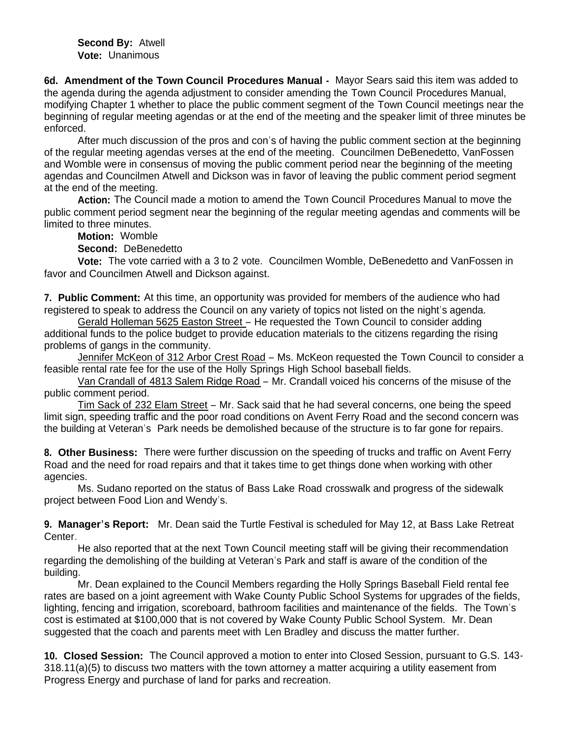**Second By:** Atwell **Vote:** Unanimous

**6d. Amendment of the Town Council Procedures Manual -** Mayor Sears said this item was added to the agenda during the agenda adjustment to consider amending the Town Council Procedures Manual, modifying Chapter 1 whether to place the public comment segment of the Town Council meetings near the beginning of regular meeting agendas or at the end of the meeting and the speaker limit of three minutes be enforced.

 After much discussion of the pros and con's of having the public comment section at the beginning of the regular meeting agendas verses at the end of the meeting. Councilmen DeBenedetto, VanFossen and Womble were in consensus of moving the public comment period near the beginning of the meeting agendas and Councilmen Atwell and Dickson was in favor of leaving the public comment period segment at the end of the meeting.

 **Action:** The Council made a motion to amend the Town Council Procedures Manual to move the public comment period segment near the beginning of the regular meeting agendas and comments will be limited to three minutes.

**Motion:** Womble

**Second:** DeBenedetto

**Vote:** The vote carried with a 3 to 2 vote. Councilmen Womble, DeBenedetto and VanFossen in favor and Councilmen Atwell and Dickson against.

**7. Public Comment:** At this time, an opportunity was provided for members of the audience who had registered to speak to address the Council on any variety of topics not listed on the night's agenda.

Gerald Holleman 5625 Easton Street – He requested the Town Council to consider adding additional funds to the police budget to provide education materials to the citizens regarding the rising problems of gangs in the community.

Jennifer McKeon of 312 Arbor Crest Road – Ms. McKeon requested the Town Council to consider a feasible rental rate fee for the use of the Holly Springs High School baseball fields.

Van Crandall of 4813 Salem Ridge Road – Mr. Crandall voiced his concerns of the misuse of the public comment period.

Tim Sack of 232 Elam Street – Mr. Sack said that he had several concerns, one being the speed limit sign, speeding traffic and the poor road conditions on Avent Ferry Road and the second concern was the building at Veteran's Park needs be demolished because of the structure is to far gone for repairs.

**8. Other Business:** There were further discussion on the speeding of trucks and traffic on Avent Ferry Road and the need for road repairs and that it takes time to get things done when working with other agencies.

 Ms. Sudano reported on the status of Bass Lake Road crosswalk and progress of the sidewalk project between Food Lion and Wendy's.

**9. Manager's Report:** Mr. Dean said the Turtle Festival is scheduled for May 12, at Bass Lake Retreat Center.

He also reported that at the next Town Council meeting staff will be giving their recommendation regarding the demolishing of the building at Veteran's Park and staff is aware of the condition of the building.

 Mr. Dean explained to the Council Members regarding the Holly Springs Baseball Field rental fee rates are based on a joint agreement with Wake County Public School Systems for upgrades of the fields, lighting, fencing and irrigation, scoreboard, bathroom facilities and maintenance of the fields. The Town's cost is estimated at \$100,000 that is not covered by Wake County Public School System. Mr. Dean suggested that the coach and parents meet with Len Bradley and discuss the matter further.

**10. Closed Session:** The Council approved a motion to enter into Closed Session, pursuant to G.S. 143- 318.11(a)(5) to discuss two matters with the town attorney a matter acquiring a utility easement from Progress Energy and purchase of land for parks and recreation.